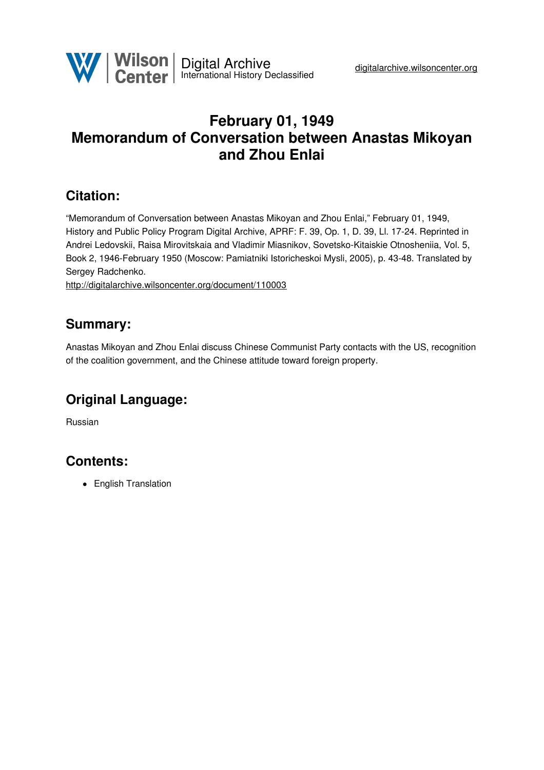

# **February 01, 1949 Memorandum of Conversation between Anastas Mikoyan and Zhou Enlai**

### **Citation:**

"Memorandum of Conversation between Anastas Mikoyan and Zhou Enlai," February 01, 1949, History and Public Policy Program Digital Archive, APRF: F. 39, Op. 1, D. 39, Ll. 17-24. Reprinted in Andrei Ledovskii, Raisa Mirovitskaia and Vladimir Miasnikov, Sovetsko-Kitaiskie Otnosheniia, Vol. 5, Book 2, 1946-February 1950 (Moscow: Pamiatniki Istoricheskoi Mysli, 2005), p. 43-48. Translated by Sergey Radchenko.

<http://digitalarchive.wilsoncenter.org/document/110003>

### **Summary:**

Anastas Mikoyan and Zhou Enlai discuss Chinese Communist Party contacts with the US, recognition of the coalition government, and the Chinese attitude toward foreign property.

# **Original Language:**

Russian

# **Contents:**

• English Translation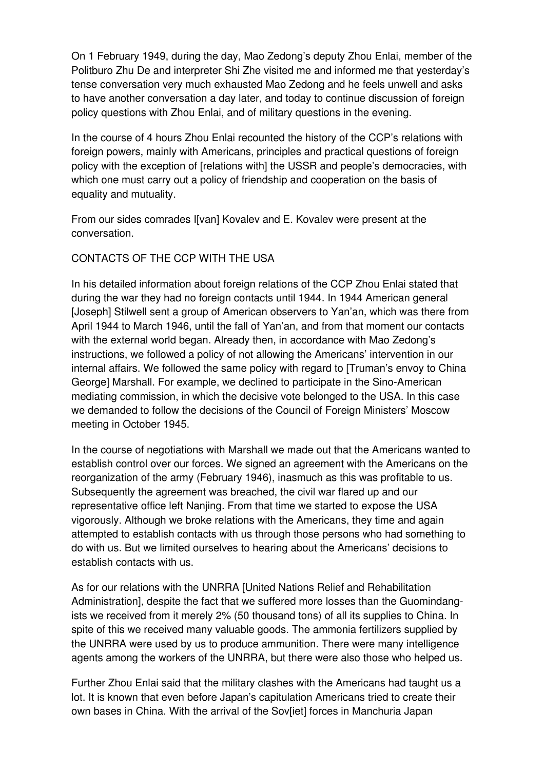On 1 February 1949, during the day, Mao Zedong's deputy Zhou Enlai, member of the Politburo Zhu De and interpreter Shi Zhe visited me and informed me that yesterday's tense conversation very much exhausted Mao Zedong and he feels unwell and asks to have another conversation a day later, and today to continue discussion of foreign policy questions with Zhou Enlai, and of military questions in the evening.

In the course of 4 hours Zhou Enlai recounted the history of the CCP's relations with foreign powers, mainly with Americans, principles and practical questions of foreign policy with the exception of [relations with] the USSR and people's democracies, with which one must carry out a policy of friendship and cooperation on the basis of equality and mutuality.

From our sides comrades I[van] Kovalev and E. Kovalev were present at the conversation.

### CONTACTS OF THE CCP WITH THE USA

In his detailed information about foreign relations of the CCP Zhou Enlai stated that during the war they had no foreign contacts until 1944. In 1944 American general [Joseph] Stilwell sent a group of American observers to Yan'an, which was there from April 1944 to March 1946, until the fall of Yan'an, and from that moment our contacts with the external world began. Already then, in accordance with Mao Zedong's instructions, we followed a policy of not allowing the Americans' intervention in our internal affairs. We followed the same policy with regard to [Truman's envoy to China George] Marshall. For example, we declined to participate in the Sino-American mediating commission, in which the decisive vote belonged to the USA. In this case we demanded to follow the decisions of the Council of Foreign Ministers' Moscow meeting in October 1945.

In the course of negotiations with Marshall we made out that the Americans wanted to establish control over our forces. We signed an agreement with the Americans on the reorganization of the army (February 1946), inasmuch as this was profitable to us. Subsequently the agreement was breached, the civil war flared up and our representative office left Nanjing. From that time we started to expose the USA vigorously. Although we broke relations with the Americans, they time and again attempted to establish contacts with us through those persons who had something to do with us. But we limited ourselves to hearing about the Americans' decisions to establish contacts with us.

As for our relations with the UNRRA [United Nations Relief and Rehabilitation Administration], despite the fact that we suffered more losses than the Guomindangists we received from it merely 2% (50 thousand tons) of all its supplies to China. In spite of this we received many valuable goods. The ammonia fertilizers supplied by the UNRRA were used by us to produce ammunition. There were many intelligence agents among the workers of the UNRRA, but there were also those who helped us.

Further Zhou Enlai said that the military clashes with the Americans had taught us a lot. It is known that even before Japan's capitulation Americans tried to create their own bases in China. With the arrival of the Sov[iet] forces in Manchuria Japan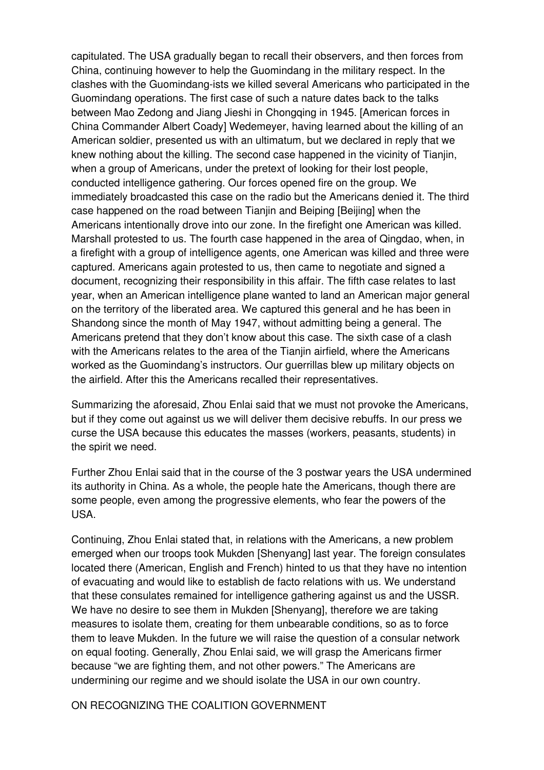capitulated. The USA gradually began to recall their observers, and then forces from China, continuing however to help the Guomindang in the military respect. In the clashes with the Guomindang-ists we killed several Americans who participated in the Guomindang operations. The first case of such a nature dates back to the talks between Mao Zedong and Jiang Jieshi in Chongqing in 1945. [American forces in China Commander Albert Coady] Wedemeyer, having learned about the killing of an American soldier, presented us with an ultimatum, but we declared in reply that we knew nothing about the killing. The second case happened in the vicinity of Tianjin, when a group of Americans, under the pretext of looking for their lost people, conducted intelligence gathering. Our forces opened fire on the group. We immediately broadcasted this case on the radio but the Americans denied it. The third case happened on the road between Tianjin and Beiping [Beijing] when the Americans intentionally drove into our zone. In the firefight one American was killed. Marshall protested to us. The fourth case happened in the area of Qingdao, when, in a firefight with a group of intelligence agents, one American was killed and three were captured. Americans again protested to us, then came to negotiate and signed a document, recognizing their responsibility in this affair. The fifth case relates to last year, when an American intelligence plane wanted to land an American major general on the territory of the liberated area. We captured this general and he has been in Shandong since the month of May 1947, without admitting being a general. The Americans pretend that they don't know about this case. The sixth case of a clash with the Americans relates to the area of the Tianjin airfield, where the Americans worked as the Guomindang's instructors. Our guerrillas blew up military objects on the airfield. After this the Americans recalled their representatives.

Summarizing the aforesaid, Zhou Enlai said that we must not provoke the Americans, but if they come out against us we will deliver them decisive rebuffs. In our press we curse the USA because this educates the masses (workers, peasants, students) in the spirit we need.

Further Zhou Enlai said that in the course of the 3 postwar years the USA undermined its authority in China. As a whole, the people hate the Americans, though there are some people, even among the progressive elements, who fear the powers of the USA.

Continuing, Zhou Enlai stated that, in relations with the Americans, a new problem emerged when our troops took Mukden [Shenyang] last year. The foreign consulates located there (American, English and French) hinted to us that they have no intention of evacuating and would like to establish de facto relations with us. We understand that these consulates remained for intelligence gathering against us and the USSR. We have no desire to see them in Mukden [Shenyang], therefore we are taking measures to isolate them, creating for them unbearable conditions, so as to force them to leave Mukden. In the future we will raise the question of a consular network on equal footing. Generally, Zhou Enlai said, we will grasp the Americans firmer because "we are fighting them, and not other powers." The Americans are undermining our regime and we should isolate the USA in our own country.

ON RECOGNIZING THE COALITION GOVERNMENT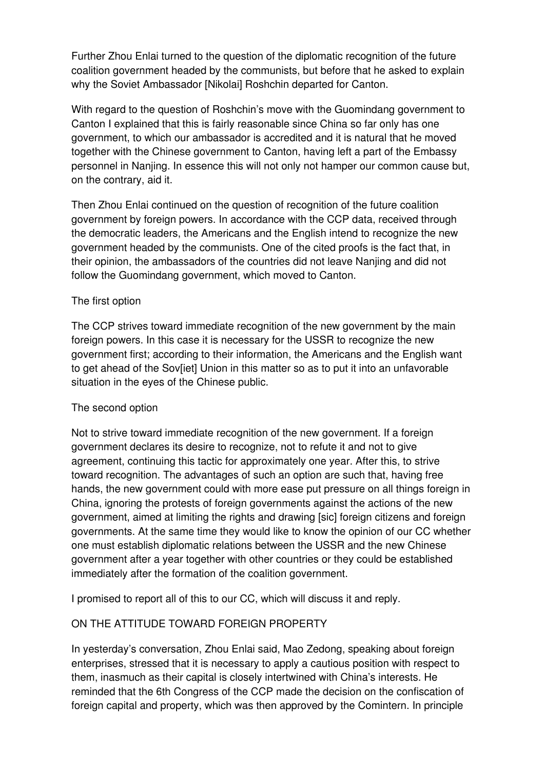Further Zhou Enlai turned to the question of the diplomatic recognition of the future coalition government headed by the communists, but before that he asked to explain why the Soviet Ambassador [Nikolai] Roshchin departed for Canton.

With regard to the question of Roshchin's move with the Guomindang government to Canton I explained that this is fairly reasonable since China so far only has one government, to which our ambassador is accredited and it is natural that he moved together with the Chinese government to Canton, having left a part of the Embassy personnel in Nanjing. In essence this will not only not hamper our common cause but, on the contrary, aid it.

Then Zhou Enlai continued on the question of recognition of the future coalition government by foreign powers. In accordance with the CCP data, received through the democratic leaders, the Americans and the English intend to recognize the new government headed by the communists. One of the cited proofs is the fact that, in their opinion, the ambassadors of the countries did not leave Nanjing and did not follow the Guomindang government, which moved to Canton.

#### The first option

The CCP strives toward immediate recognition of the new government by the main foreign powers. In this case it is necessary for the USSR to recognize the new government first; according to their information, the Americans and the English want to get ahead of the Sov[iet] Union in this matter so as to put it into an unfavorable situation in the eyes of the Chinese public.

#### The second option

Not to strive toward immediate recognition of the new government. If a foreign government declares its desire to recognize, not to refute it and not to give agreement, continuing this tactic for approximately one year. After this, to strive toward recognition. The advantages of such an option are such that, having free hands, the new government could with more ease put pressure on all things foreign in China, ignoring the protests of foreign governments against the actions of the new government, aimed at limiting the rights and drawing [sic] foreign citizens and foreign governments. At the same time they would like to know the opinion of our CC whether one must establish diplomatic relations between the USSR and the new Chinese government after a year together with other countries or they could be established immediately after the formation of the coalition government.

I promised to report all of this to our CC, which will discuss it and reply.

### ON THE ATTITUDE TOWARD FOREIGN PROPERTY

In yesterday's conversation, Zhou Enlai said, Mao Zedong, speaking about foreign enterprises, stressed that it is necessary to apply a cautious position with respect to them, inasmuch as their capital is closely intertwined with China's interests. He reminded that the 6th Congress of the CCP made the decision on the confiscation of foreign capital and property, which was then approved by the Comintern. In principle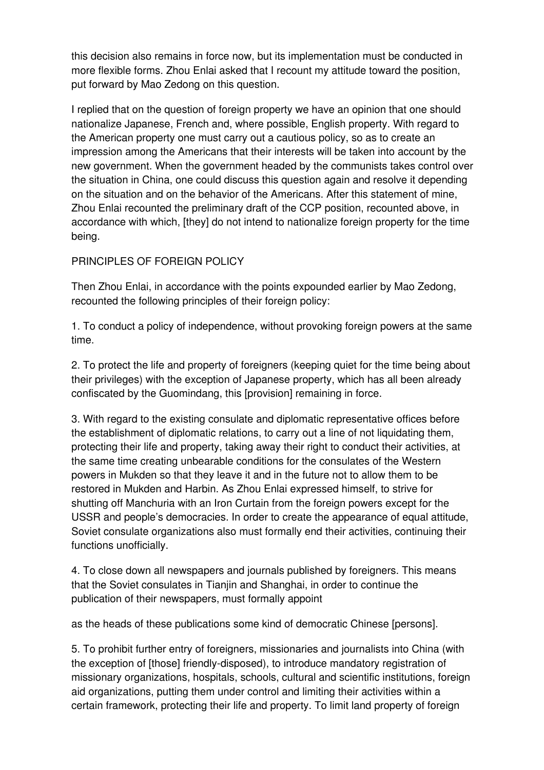this decision also remains in force now, but its implementation must be conducted in more flexible forms. Zhou Enlai asked that I recount my attitude toward the position, put forward by Mao Zedong on this question.

I replied that on the question of foreign property we have an opinion that one should nationalize Japanese, French and, where possible, English property. With regard to the American property one must carry out a cautious policy, so as to create an impression among the Americans that their interests will be taken into account by the new government. When the government headed by the communists takes control over the situation in China, one could discuss this question again and resolve it depending on the situation and on the behavior of the Americans. After this statement of mine, Zhou Enlai recounted the preliminary draft of the CCP position, recounted above, in accordance with which, [they] do not intend to nationalize foreign property for the time being.

### PRINCIPLES OF FOREIGN POLICY

Then Zhou Enlai, in accordance with the points expounded earlier by Mao Zedong, recounted the following principles of their foreign policy:

1. To conduct a policy of independence, without provoking foreign powers at the same time.

2. To protect the life and property of foreigners (keeping quiet for the time being about their privileges) with the exception of Japanese property, which has all been already confiscated by the Guomindang, this [provision] remaining in force.

3. With regard to the existing consulate and diplomatic representative offices before the establishment of diplomatic relations, to carry out a line of not liquidating them, protecting their life and property, taking away their right to conduct their activities, at the same time creating unbearable conditions for the consulates of the Western powers in Mukden so that they leave it and in the future not to allow them to be restored in Mukden and Harbin. As Zhou Enlai expressed himself, to strive for shutting off Manchuria with an Iron Curtain from the foreign powers except for the USSR and people's democracies. In order to create the appearance of equal attitude, Soviet consulate organizations also must formally end their activities, continuing their functions unofficially.

4. To close down all newspapers and journals published by foreigners. This means that the Soviet consulates in Tianjin and Shanghai, in order to continue the publication of their newspapers, must formally appoint

as the heads of these publications some kind of democratic Chinese [persons].

5. To prohibit further entry of foreigners, missionaries and journalists into China (with the exception of [those] friendly-disposed), to introduce mandatory registration of missionary organizations, hospitals, schools, cultural and scientific institutions, foreign aid organizations, putting them under control and limiting their activities within a certain framework, protecting their life and property. To limit land property of foreign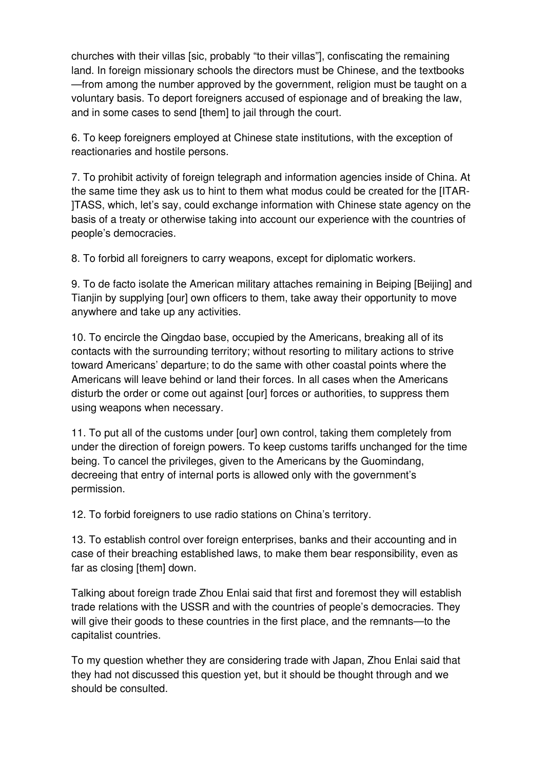churches with their villas [sic, probably "to their villas"], confiscating the remaining land. In foreign missionary schools the directors must be Chinese, and the textbooks —from among the number approved by the government, religion must be taught on a voluntary basis. To deport foreigners accused of espionage and of breaking the law, and in some cases to send [them] to jail through the court.

6. To keep foreigners employed at Chinese state institutions, with the exception of reactionaries and hostile persons.

7. To prohibit activity of foreign telegraph and information agencies inside of China. At the same time they ask us to hint to them what modus could be created for the [ITAR- ]TASS, which, let's say, could exchange information with Chinese state agency on the basis of a treaty or otherwise taking into account our experience with the countries of people's democracies.

8. To forbid all foreigners to carry weapons, except for diplomatic workers.

9. To de facto isolate the American military attaches remaining in Beiping [Beijing] and Tianjin by supplying [our] own officers to them, take away their opportunity to move anywhere and take up any activities.

10. To encircle the Qingdao base, occupied by the Americans, breaking all of its contacts with the surrounding territory; without resorting to military actions to strive toward Americans' departure; to do the same with other coastal points where the Americans will leave behind or land their forces. In all cases when the Americans disturb the order or come out against [our] forces or authorities, to suppress them using weapons when necessary.

11. To put all of the customs under [our] own control, taking them completely from under the direction of foreign powers. To keep customs tariffs unchanged for the time being. To cancel the privileges, given to the Americans by the Guomindang, decreeing that entry of internal ports is allowed only with the government's permission.

12. To forbid foreigners to use radio stations on China's territory.

13. To establish control over foreign enterprises, banks and their accounting and in case of their breaching established laws, to make them bear responsibility, even as far as closing [them] down.

Talking about foreign trade Zhou Enlai said that first and foremost they will establish trade relations with the USSR and with the countries of people's democracies. They will give their goods to these countries in the first place, and the remnants—to the capitalist countries.

To my question whether they are considering trade with Japan, Zhou Enlai said that they had not discussed this question yet, but it should be thought through and we should be consulted.